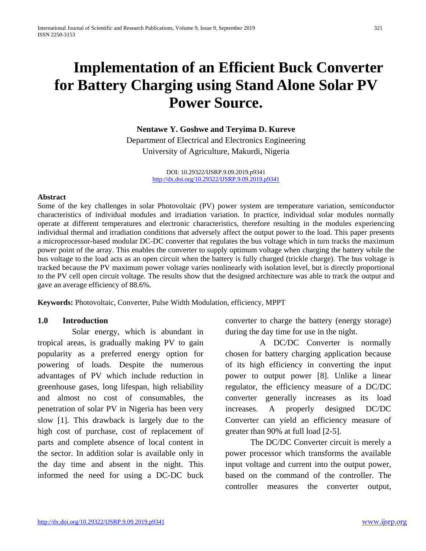# **Implementation of an Efficient Buck Converter for Battery Charging using Stand Alone Solar PV Power Source.**

**Nentawe Y. Goshwe and Teryima D. Kureve** Department of Electrical and Electronics Engineering University of Agriculture, Makurdi, Nigeria

> DOI: 10.29322/IJSRP.9.09.2019.p9341 <http://dx.doi.org/10.29322/IJSRP.9.09.2019.p9341>

#### **Abstract**

Some of the key challenges in solar Photovoltaic (PV) power system are temperature variation, semiconductor characteristics of individual modules and irradiation variation. In practice, individual solar modules normally operate at different temperatures and electronic characteristics, therefore resulting in the modules experiencing individual thermal and irradiation conditions that adversely affect the output power to the load. This paper presents a microprocessor-based modular DC-DC converter that regulates the bus voltage which in turn tracks the maximum power point of the array. This enables the converter to supply optimum voltage when charging the battery while the bus voltage to the load acts as an open circuit when the battery is fully charged (trickle charge). The bus voltage is tracked because the PV maximum power voltage varies nonlinearly with isolation level, but is directly proportional to the PV cell open circuit voltage. The results show that the designed architecture was able to track the output and gave an average efficiency of 88.6%.

**Keywords:** Photovoltaic, Converter, Pulse Width Modulation, efficiency, MPPT

#### **1.0 Introduction**

Solar energy, which is abundant in tropical areas, is gradually making PV to gain popularity as a preferred energy option for powering of loads. Despite the numerous advantages of PV which include reduction in greenhouse gases, long lifespan, high reliability and almost no cost of consumables, the penetration of solar PV in Nigeria has been very slow [1]. This drawback is largely due to the high cost of purchase, cost of replacement of parts and complete absence of local content in the sector. In addition solar is available only in the day time and absent in the night. This informed the need for using a DC-DC buck converter to charge the battery (energy storage) during the day time for use in the night.

A DC/DC Converter is normally chosen for battery charging application because of its high efficiency in converting the input power to output power [8]. Unlike a linear regulator, the efficiency measure of a DC/DC converter generally increases as its load increases. A properly designed DC/DC Converter can yield an efficiency measure of greater than 90% at full load [2-5].

The DC/DC Converter circuit is merely a power processor which transforms the available input voltage and current into the output power, based on the command of the controller. The controller measures the converter output,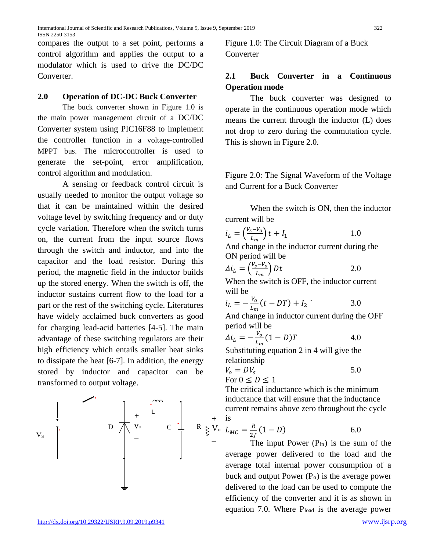compares the output to a set point, performs a control algorithm and applies the output to a modulator which is used to drive the DC/DC **Converter** 

#### **2.0 Operation of DC-DC Buck Converter**

The buck converter shown in Figure 1.0 is the main power management circuit of a DC/DC Converter system using PIC16F88 to implement the controller function in a voltage-controlled MPPT bus. The microcontroller is used to generate the set-point, error amplification, control algorithm and modulation.

A sensing or feedback control circuit is usually needed to monitor the output voltage so that it can be maintained within the desired voltage level by switching frequency and or duty cycle variation. Therefore when the switch turns on, the current from the input source flows through the switch and inductor, and into the capacitor and the load resistor. During this period, the magnetic field in the inductor builds up the stored energy. When the switch is off, the inductor sustains current flow to the load for a part or the rest of the switching cycle. Literatures have widely acclaimed buck converters as good for charging lead-acid batteries [4-5]. The main advantage of these switching regulators are their high efficiency which entails smaller heat sinks to dissipate the heat [6-7]. In addition, the energy stored by inductor and capacitor can be transformed to output voltage.



Figure 1.0: The Circuit Diagram of a Buck Converter

## **2.1 Buck Converter in a Continuous Operation mode**

The buck converter was designed to operate in the continuous operation mode which means the current through the inductor (L) does not drop to zero during the commutation cycle. This is shown in Figure 2.0.

Figure 2.0: The Signal Waveform of the Voltage and Current for a Buck Converter

When the switch is ON, then the inductor current will be

$$
i_L = \left(\frac{V_s - V_o}{L_m}\right)t + I_1
$$
 1.0

And change in the inductor current during the ON period will be

$$
\Delta i_L = \left(\frac{v_s - v_o}{L_m}\right) Dt \tag{2.0}
$$

When the switch is OFF, the inductor current will be

$$
i_L = -\frac{V_o}{L_m}(t - DT) + I_2
$$
 3.0

And change in inductor current during the OFF period will be

$$
\Delta i_L = -\frac{V_o}{L_m} (1 - D)T \tag{4.0}
$$

Substituting equation 2 in 4 will give the relationship

$$
V_o = DV_s \t\t 5.0
$$
  
For  $0 \le D \le 1$ 

The critical inductance which is the minimum inductance that will ensure that the inductance current remains above zero throughout the cycle is

$$
U_0 \, L_{MC} = \frac{R}{2f} (1 - D) \tag{6.0}
$$

The input Power  $(P_{in})$  is the sum of the average power delivered to the load and the average total internal power consumption of a buck and output Power  $(P<sub>o</sub>)$  is the average power delivered to the load can be used to compute the efficiency of the converter and it is as shown in equation 7.0. Where Pload is the average power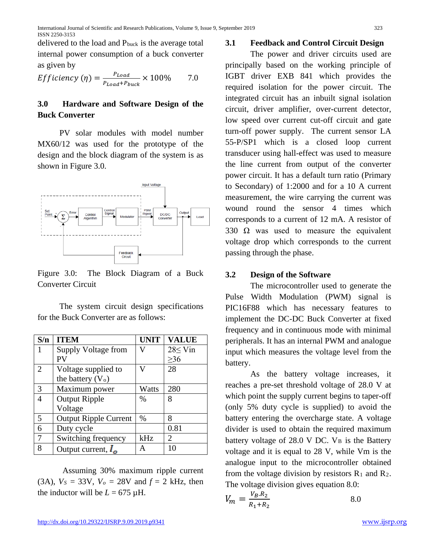delivered to the load and Pbuck is the average total internal power consumption of a buck converter as given by

*Efficiency* (
$$
\eta
$$
) =  $\frac{P_{Load}}{P_{Load} + P_{bucket}} \times 100\%$  7.0

## **3.0 Hardware and Software Design of the Buck Converter**

PV solar modules with model number MX60/12 was used for the prototype of the design and the block diagram of the system is as shown in Figure 3.0.



Figure 3.0: The Block Diagram of a Buck Converter Circuit

The system circuit design specifications for the Buck Converter are as follows:

| S/n            | <b>ITEM</b>                  | <b>UNIT</b> | <b>VALUE</b>   |
|----------------|------------------------------|-------------|----------------|
| 1              | Supply Voltage from          | W           | $28 \leq$ Vin  |
|                | <b>PV</b>                    |             | $\geq 36$      |
| $\overline{2}$ | Voltage supplied to          | 17          | 28             |
|                | the battery $(Vo)$           |             |                |
| 3              | Maximum power                | Watts       | 280            |
| $\overline{4}$ | <b>Output Ripple</b>         | $\%$        | 8              |
|                | Voltage                      |             |                |
| 5              | <b>Output Ripple Current</b> | $\%$        | 8              |
| 6              | Duty cycle                   |             | 0.81           |
| 7              | Switching frequency          | kHz         | $\overline{2}$ |
| 8              | Output current, $I_{\alpha}$ | А           | 10             |

Assuming 30% maximum ripple current (3A),  $V_s = 33V$ ,  $V_o = 28V$  and  $f = 2$  kHz, then the inductor will be  $L = 675 \mu H$ .

#### **3.1 Feedback and Control Circuit Design**

The power and driver circuits used are principally based on the working principle of IGBT driver EXB 841 which provides the required isolation for the power circuit. The integrated circuit has an inbuilt signal isolation circuit, driver amplifier, over-current detector, low speed over current cut-off circuit and gate turn-off power supply. The current sensor LA 55-P/SP1 which is a closed loop current transducer using hall-effect was used to measure the line current from output of the converter power circuit. It has a default turn ratio (Primary to Secondary) of 1:2000 and for a 10 A current measurement, the wire carrying the current was wound round the sensor 4 times which corresponds to a current of 12 mA. A resistor of 330  $\Omega$  was used to measure the equivalent voltage drop which corresponds to the current passing through the phase.

#### **3.2 Design of the Software**

The microcontroller used to generate the Pulse Width Modulation (PWM) signal is PIC16F88 which has necessary features to implement the DC-DC Buck Converter at fixed frequency and in continuous mode with minimal peripherals. It has an internal PWM and analogue input which measures the voltage level from the battery.

As the battery voltage increases, it reaches a pre-set threshold voltage of 28.0 V at which point the supply current begins to taper-off (only 5% duty cycle is supplied) to avoid the battery entering the overcharge state. A voltage divider is used to obtain the required maximum battery voltage of  $28.0$  V DC. V<sub>B</sub> is the Battery voltage and it is equal to 28 V, while Vm is the analogue input to the microcontroller obtained from the voltage division by resistors  $R_1$  and  $R_2$ . The voltage division gives equation 8.0:

$$
V_m = \frac{V_B R_2}{R_1 + R_2}
$$

8.0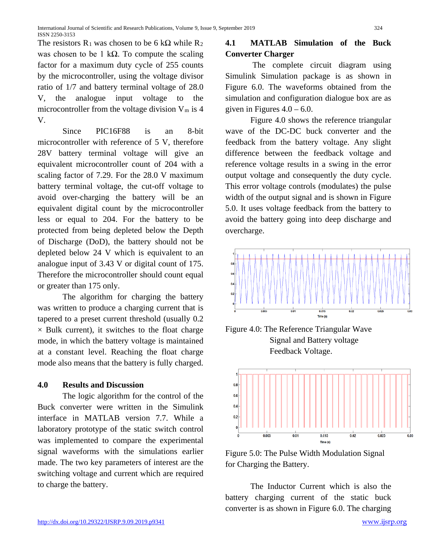The resistors  $R_1$  was chosen to be 6 k $\Omega$  while  $R_2$ was chosen to be 1 kΩ. To compute the scaling factor for a maximum duty cycle of 255 counts by the microcontroller, using the voltage divisor ratio of 1/7 and battery terminal voltage of 28.0 V, the analogue input voltage to the microcontroller from the voltage division  $V_m$  is 4 V.

Since PIC16F88 is an 8-bit microcontroller with reference of 5 V, therefore 28V battery terminal voltage will give an equivalent microcontroller count of 204 with a scaling factor of 7.29. For the 28.0 V maximum battery terminal voltage, the cut-off voltage to avoid over-charging the battery will be an equivalent digital count by the microcontroller less or equal to 204. For the battery to be protected from being depleted below the Depth of Discharge (DoD), the battery should not be depleted below 24 V which is equivalent to an analogue input of 3.43 V or digital count of 175. Therefore the microcontroller should count equal or greater than 175 only.

The algorithm for charging the battery was written to produce a charging current that is tapered to a preset current threshold (usually 0.2  $\times$  Bulk current), it switches to the float charge mode, in which the battery voltage is maintained at a constant level. Reaching the float charge mode also means that the battery is fully charged.

## **4.0 Results and Discussion**

The logic algorithm for the control of the Buck converter were written in the Simulink interface in MATLAB version 7.7. While a laboratory prototype of the static switch control was implemented to compare the experimental signal waveforms with the simulations earlier made. The two key parameters of interest are the switching voltage and current which are required to charge the battery.

# **4.1 MATLAB Simulation of the Buck Converter Charger**

The complete circuit diagram using Simulink Simulation package is as shown in Figure 6.0. The waveforms obtained from the simulation and configuration dialogue box are as given in Figures  $4.0 - 6.0$ .

Figure 4.0 shows the reference triangular wave of the DC-DC buck converter and the feedback from the battery voltage. Any slight difference between the feedback voltage and reference voltage results in a swing in the error output voltage and consequently the duty cycle. This error voltage controls (modulates) the pulse width of the output signal and is shown in Figure 5.0. It uses voltage feedback from the battery to avoid the battery going into deep discharge and overcharge.



Figure 4.0: The Reference Triangular Wave Signal and Battery voltage Feedback Voltage.



Figure 5.0: The Pulse Width Modulation Signal for Charging the Battery.

The Inductor Current which is also the battery charging current of the static buck converter is as shown in Figure 6.0. The charging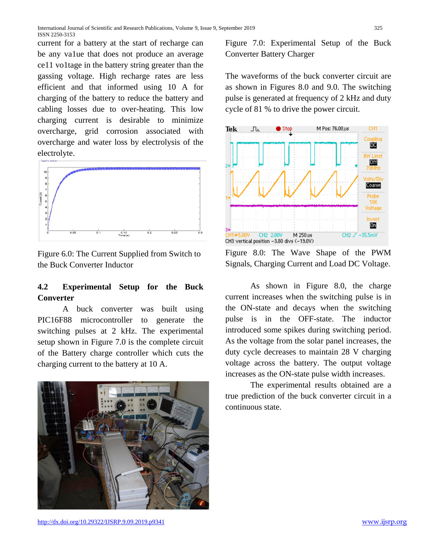current for a battery at the start of recharge can be any va1ue that does not produce an average ce11 vo1tage in the battery string greater than the gassing voltage. High recharge rates are less efficient and that informed using 10 A for charging of the battery to reduce the battery and cabling losses due to over-heating. This low charging current is desirable to minimize overcharge, grid corrosion associated with overcharge and water loss by electrolysis of the electrolyte.



Figure 6.0: The Current Supplied from Switch to the Buck Converter Inductor

# **4.2 Experimental Setup for the Buck Converter**

A buck converter was built using PIC16F88 microcontroller to generate the switching pulses at 2 kHz. The experimental setup shown in Figure 7.0 is the complete circuit of the Battery charge controller which cuts the charging current to the battery at 10 A.



Figure 7.0: Experimental Setup of the Buck Converter Battery Charger

The waveforms of the buck converter circuit are as shown in Figures 8.0 and 9.0. The switching pulse is generated at frequency of 2 kHz and duty cycle of 81 % to drive the power circuit.



Figure 8.0: The Wave Shape of the PWM Signals, Charging Current and Load DC Voltage.

As shown in Figure 8.0, the charge current increases when the switching pulse is in the ON-state and decays when the switching pulse is in the OFF-state. The inductor introduced some spikes during switching period. As the voltage from the solar panel increases, the duty cycle decreases to maintain 28 V charging voltage across the battery. The output voltage increases as the ON-state pulse width increases.

The experimental results obtained are a true prediction of the buck converter circuit in a continuous state.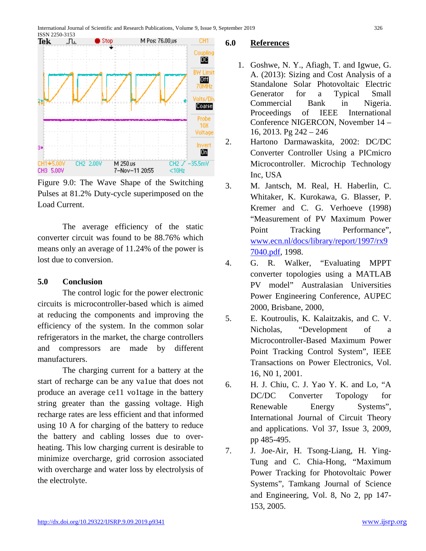

Figure 9.0: The Wave Shape of the Switching Pulses at 81.2% Duty-cycle superimposed on the Load Current.

The average efficiency of the static converter circuit was found to be 88.76% which means only an average of 11.24% of the power is lost due to conversion.

## **5.0 Conclusion**

The control logic for the power electronic circuits is microcontroller-based which is aimed at reducing the components and improving the efficiency of the system. In the common solar refrigerators in the market, the charge controllers and compressors are made by different manufacturers.

The charging current for a battery at the start of recharge can be any va1ue that does not produce an average ce11 vo1tage in the battery string greater than the gassing voltage. High recharge rates are less efficient and that informed using 10 A for charging of the battery to reduce the battery and cabling losses due to overheating. This low charging current is desirable to minimize overcharge, grid corrosion associated with overcharge and water loss by electrolysis of the electrolyte.

#### **6.0 References**

- 1. Goshwe, N. Y., Afiagh, T. and Igwue, G. A. (2013): Sizing and Cost Analysis of a Standalone Solar Photovoltaic Electric Generator for a Typical Small Commercial Bank in Nigeria. Proceedings of IEEE International Conference NIGERCON, November 14 – 16, 2013. Pg 242 – 246
- 2. Hartono Darmawaskita, 2002: DC/DC Converter Controller Using a PICmicro Microcontroller. Microchip Technology Inc, USA
- 3. M. Jantsch, M. Real, H. Haberlin, C. Whitaker, K. Kurokawa, G. Blasser, P. Kremer and C. G. Verhoeve (1998) "Measurement of PV Maximum Power Point Tracking Performance". [www.ecn.nl/docs/library/report/1997/rx9](http://www.ecn.nl/docs/library/report/1997/rx97040.pdf) [7040.pdf,](http://www.ecn.nl/docs/library/report/1997/rx97040.pdf) 1998.
- 4. G. R. Walker, "Evaluating MPPT converter topologies using a MATLAB PV model" Australasian Universities Power Engineering Conference, AUPEC 2000, Brisbane, 2000,
- 5. E. Koutroulis, K. Kalaitzakis, and C. V. Nicholas, "Development of a Microcontroller-Based Maximum Power Point Tracking Control System", IEEE Transactions on Power Electronics, Vol. 16, N0 1, 2001.
- 6. H. J. Chiu, C. J. Yao Y. K. and Lo, "A DC/DC Converter Topology for Renewable Energy Systems", International Journal of Circuit Theory and applications. Vol 37, Issue 3, 2009, pp 485-495.
- 7. J. Joe-Air, H. Tsong-Liang, H. Ying-Tung and C. Chia-Hong, "Maximum Power Tracking for Photovoltaic Power Systems", Tamkang Journal of Science and Engineering, Vol. 8, No 2, pp 147- 153, 2005.